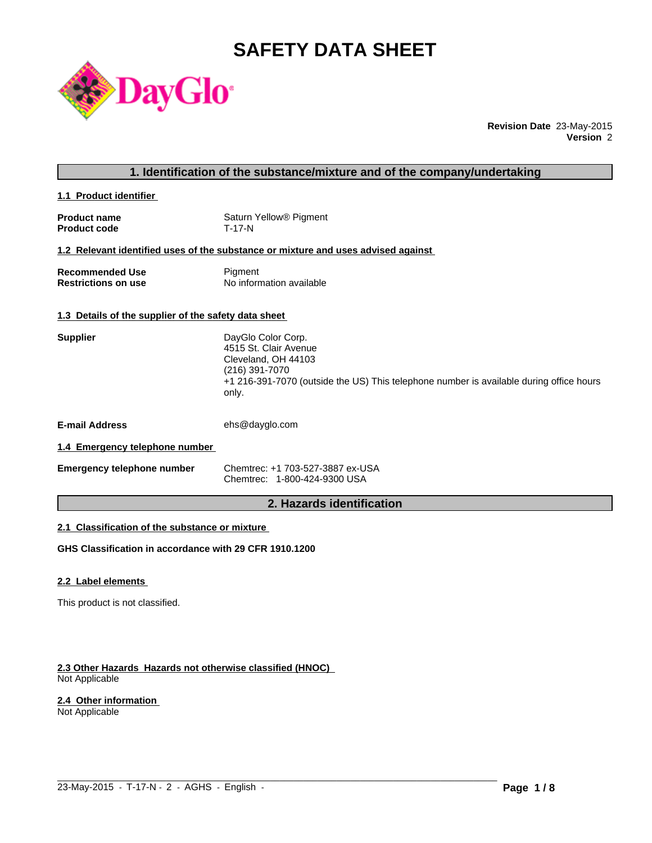# **SAFETY DATA SHEET**



**Revision Date** 23-May-2015 **Version** 2

### **1. Identification of the substance/mixture and of the company/undertaking**

**1.1 Product identifier** 

| <b>Product name</b> | Saturn Yellow <sup>®</sup> Pigment |
|---------------------|------------------------------------|
| <b>Product code</b> | T-17-N                             |

#### **1.2 Relevant identified uses of the substance or mixture and uses advised against**

| <b>Recommended Use</b>     | Pigment                  |
|----------------------------|--------------------------|
| <b>Restrictions on use</b> | No information available |

### **1.3 Details of the supplier of the safety data sheet**

| <b>Supplier</b>                | DayGlo Color Corp.<br>4515 St. Clair Avenue<br>Cleveland, OH 44103<br>(216) 391-7070<br>+1 216-391-7070 (outside the US) This telephone number is available during office hours<br>only. |
|--------------------------------|------------------------------------------------------------------------------------------------------------------------------------------------------------------------------------------|
| <b>E-mail Address</b>          | ehs@dayglo.com                                                                                                                                                                           |
| 1.4 Emergency telephone number |                                                                                                                                                                                          |

| <b>Emergency telephone number</b> | Chemtrec: +1 703-527-3887 ex-USA |
|-----------------------------------|----------------------------------|
|                                   | Chemtrec: 1-800-424-9300 USA     |

### **2. Hazards identification**

 $\_$  ,  $\_$  ,  $\_$  ,  $\_$  ,  $\_$  ,  $\_$  ,  $\_$  ,  $\_$  ,  $\_$  ,  $\_$  ,  $\_$  ,  $\_$  ,  $\_$  ,  $\_$  ,  $\_$  ,  $\_$  ,  $\_$  ,  $\_$  ,  $\_$  ,  $\_$  ,  $\_$  ,  $\_$  ,  $\_$  ,  $\_$  ,  $\_$  ,  $\_$  ,  $\_$  ,  $\_$  ,  $\_$  ,  $\_$  ,  $\_$  ,  $\_$  ,  $\_$  ,  $\_$  ,  $\_$  ,  $\_$  ,  $\_$  ,

### **2.1 Classification of the substance or mixture**

**GHS Classification in accordance with 29 CFR 1910.1200**

#### **2.2 Label elements**

This product is not classified.

#### **2.3 Other Hazards Hazards not otherwise classified (HNOC)**  Not Applicable

#### **2.4 Other information**

Not Applicable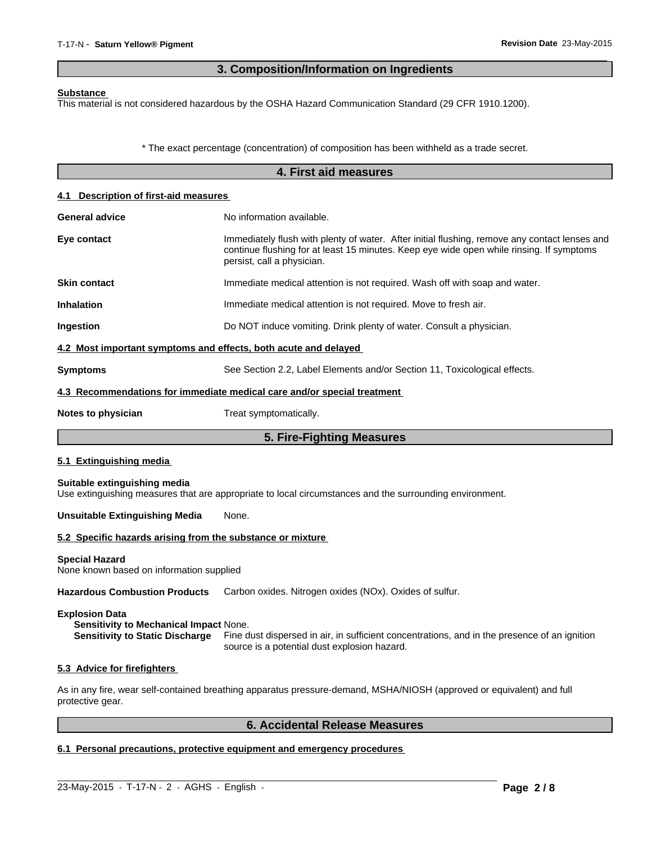### **3. Composition/Information on Ingredients**

 $\overline{\phantom{a}}$  ,  $\overline{\phantom{a}}$  ,  $\overline{\phantom{a}}$  ,  $\overline{\phantom{a}}$  ,  $\overline{\phantom{a}}$  ,  $\overline{\phantom{a}}$  ,  $\overline{\phantom{a}}$  ,  $\overline{\phantom{a}}$  ,  $\overline{\phantom{a}}$  ,  $\overline{\phantom{a}}$  ,  $\overline{\phantom{a}}$  ,  $\overline{\phantom{a}}$  ,  $\overline{\phantom{a}}$  ,  $\overline{\phantom{a}}$  ,  $\overline{\phantom{a}}$  ,  $\overline{\phantom{a}}$ 

#### **Substance**

This material is not considered hazardous by the OSHA Hazard Communication Standard (29 CFR 1910.1200).

\* The exact percentage (concentration) of composition has been withheld as a trade secret.

|                                                                   | 4. First aid measures                                                                                                                                                                                                   |
|-------------------------------------------------------------------|-------------------------------------------------------------------------------------------------------------------------------------------------------------------------------------------------------------------------|
| 4.1 Description of first-aid measures                             |                                                                                                                                                                                                                         |
| <b>General advice</b>                                             | No information available.                                                                                                                                                                                               |
| Eye contact                                                       | Immediately flush with plenty of water. After initial flushing, remove any contact lenses and<br>continue flushing for at least 15 minutes. Keep eye wide open while rinsing. If symptoms<br>persist, call a physician. |
| <b>Skin contact</b>                                               | Immediate medical attention is not required. Wash off with soap and water.                                                                                                                                              |
| <b>Inhalation</b>                                                 | Immediate medical attention is not required. Move to fresh air.                                                                                                                                                         |
| Ingestion                                                         | Do NOT induce vomiting. Drink plenty of water. Consult a physician.                                                                                                                                                     |
| 4.2 Most important symptoms and effects, both acute and delayed   |                                                                                                                                                                                                                         |
| <b>Symptoms</b>                                                   | See Section 2.2, Label Elements and/or Section 11, Toxicological effects.                                                                                                                                               |
|                                                                   | 4.3 Recommendations for immediate medical care and/or special treatment                                                                                                                                                 |
| Notes to physician                                                | Treat symptomatically.                                                                                                                                                                                                  |
|                                                                   | 5. Fire-Fighting Measures                                                                                                                                                                                               |
| 5.1 Extinguishing media                                           |                                                                                                                                                                                                                         |
| Suitable extinguishing media                                      | Use extinguishing measures that are appropriate to local circumstances and the surrounding environment.                                                                                                                 |
| <b>Unsuitable Extinguishing Media</b>                             | None.                                                                                                                                                                                                                   |
| 5.2 Specific hazards arising from the substance or mixture        |                                                                                                                                                                                                                         |
| <b>Special Hazard</b><br>None known based on information supplied |                                                                                                                                                                                                                         |
| <b>Hazardous Combustion Products</b>                              | Carbon oxides. Nitrogen oxides (NOx). Oxides of sulfur.                                                                                                                                                                 |

#### **Explosion Data**

**Sensitivity to Mechanical Impact** None. **Sensitivity to Static Discharge** Fine dust dispersed in air, in sufficient concentrations, and in the presence of an ignition source is a potential dust explosion hazard.

#### **5.3 Advice for firefighters**

As in any fire, wear self-contained breathing apparatus pressure-demand, MSHA/NIOSH (approved or equivalent) and full protective gear.

 $\_$  ,  $\_$  ,  $\_$  ,  $\_$  ,  $\_$  ,  $\_$  ,  $\_$  ,  $\_$  ,  $\_$  ,  $\_$  ,  $\_$  ,  $\_$  ,  $\_$  ,  $\_$  ,  $\_$  ,  $\_$  ,  $\_$  ,  $\_$  ,  $\_$  ,  $\_$  ,  $\_$  ,  $\_$  ,  $\_$  ,  $\_$  ,  $\_$  ,  $\_$  ,  $\_$  ,  $\_$  ,  $\_$  ,  $\_$  ,  $\_$  ,  $\_$  ,  $\_$  ,  $\_$  ,  $\_$  ,  $\_$  ,  $\_$  ,

### **6. Accidental Release Measures**

### **6.1 Personal precautions, protective equipment and emergency procedures**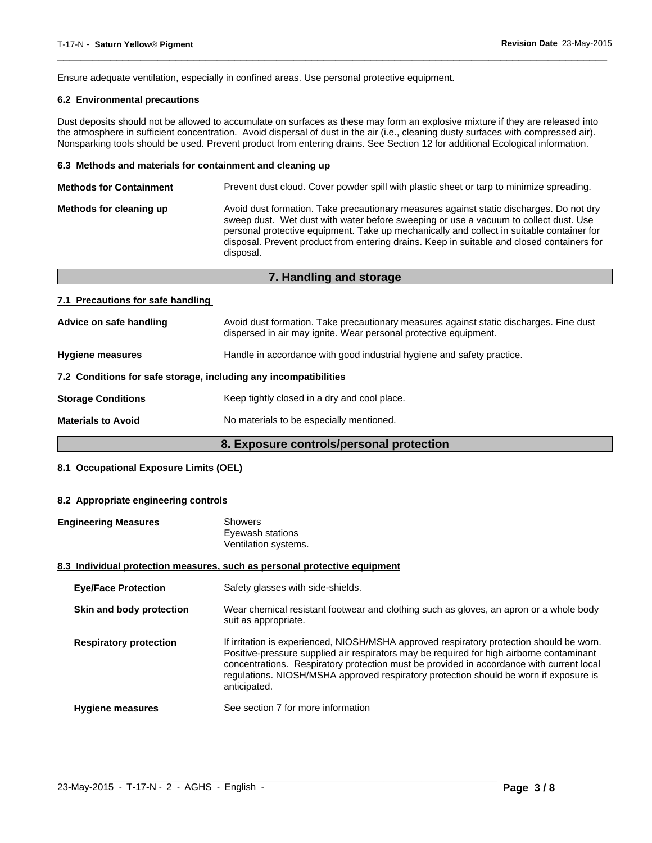Ensure adequate ventilation, especially in confined areas. Use personal protective equipment.

### **6.2 Environmental precautions**

Dust deposits should not be allowed to accumulate on surfaces as these may form an explosive mixture if they are released into the atmosphere in sufficient concentration. Avoid dispersal of dust in the air (i.e., cleaning dusty surfaces with compressed air). Nonsparking tools should be used. Prevent product from entering drains. See Section 12 for additional Ecological information.

 $\overline{\phantom{a}}$  ,  $\overline{\phantom{a}}$  ,  $\overline{\phantom{a}}$  ,  $\overline{\phantom{a}}$  ,  $\overline{\phantom{a}}$  ,  $\overline{\phantom{a}}$  ,  $\overline{\phantom{a}}$  ,  $\overline{\phantom{a}}$  ,  $\overline{\phantom{a}}$  ,  $\overline{\phantom{a}}$  ,  $\overline{\phantom{a}}$  ,  $\overline{\phantom{a}}$  ,  $\overline{\phantom{a}}$  ,  $\overline{\phantom{a}}$  ,  $\overline{\phantom{a}}$  ,  $\overline{\phantom{a}}$ 

#### **6.3 Methods and materials for containment and cleaning up**

| <b>Methods for Containment</b> | Prevent dust cloud. Cover powder spill with plastic sheet or tarp to minimize spreading.                                                                                                                                                                                                                                                                                                |
|--------------------------------|-----------------------------------------------------------------------------------------------------------------------------------------------------------------------------------------------------------------------------------------------------------------------------------------------------------------------------------------------------------------------------------------|
| Methods for cleaning up        | Avoid dust formation. Take precautionary measures against static discharges. Do not dry<br>sweep dust. Wet dust with water before sweeping or use a vacuum to collect dust. Use<br>personal protective equipment. Take up mechanically and collect in suitable container for<br>disposal. Prevent product from entering drains. Keep in suitable and closed containers for<br>disposal. |
|                                |                                                                                                                                                                                                                                                                                                                                                                                         |

| 7. Handling and storage                                          |                                                                                                                                                            |  |
|------------------------------------------------------------------|------------------------------------------------------------------------------------------------------------------------------------------------------------|--|
| 7.1 Precautions for safe handling                                |                                                                                                                                                            |  |
| Advice on safe handling                                          | Avoid dust formation. Take precautionary measures against static discharges. Fine dust<br>dispersed in air may ignite. Wear personal protective equipment. |  |
| <b>Hygiene measures</b>                                          | Handle in accordance with good industrial hygiene and safety practice.                                                                                     |  |
| 7.2 Conditions for safe storage, including any incompatibilities |                                                                                                                                                            |  |
| <b>Storage Conditions</b>                                        | Keep tightly closed in a dry and cool place.                                                                                                               |  |
| <b>Materials to Avoid</b>                                        | No materials to be especially mentioned.                                                                                                                   |  |

### **8. Exposure controls/personal protection**

#### **8.1 Occupational Exposure Limits (OEL)**

#### **8.2 Appropriate engineering controls**

| <b>Engineering Measures</b>   | <b>Showers</b><br>Eyewash stations<br>Ventilation systems.                                                                                                                                                                                                                                                                                                                                |
|-------------------------------|-------------------------------------------------------------------------------------------------------------------------------------------------------------------------------------------------------------------------------------------------------------------------------------------------------------------------------------------------------------------------------------------|
|                               | 8.3 Individual protection measures, such as personal protective equipment                                                                                                                                                                                                                                                                                                                 |
| <b>Eye/Face Protection</b>    | Safety glasses with side-shields.                                                                                                                                                                                                                                                                                                                                                         |
| Skin and body protection      | Wear chemical resistant footwear and clothing such as gloves, an apron or a whole body<br>suit as appropriate.                                                                                                                                                                                                                                                                            |
| <b>Respiratory protection</b> | If irritation is experienced, NIOSH/MSHA approved respiratory protection should be worn.<br>Positive-pressure supplied air respirators may be required for high airborne contaminant<br>concentrations. Respiratory protection must be provided in accordance with current local<br>regulations. NIOSH/MSHA approved respiratory protection should be worn if exposure is<br>anticipated. |
| <b>Hygiene measures</b>       | See section 7 for more information                                                                                                                                                                                                                                                                                                                                                        |

 $\_$  ,  $\_$  ,  $\_$  ,  $\_$  ,  $\_$  ,  $\_$  ,  $\_$  ,  $\_$  ,  $\_$  ,  $\_$  ,  $\_$  ,  $\_$  ,  $\_$  ,  $\_$  ,  $\_$  ,  $\_$  ,  $\_$  ,  $\_$  ,  $\_$  ,  $\_$  ,  $\_$  ,  $\_$  ,  $\_$  ,  $\_$  ,  $\_$  ,  $\_$  ,  $\_$  ,  $\_$  ,  $\_$  ,  $\_$  ,  $\_$  ,  $\_$  ,  $\_$  ,  $\_$  ,  $\_$  ,  $\_$  ,  $\_$  ,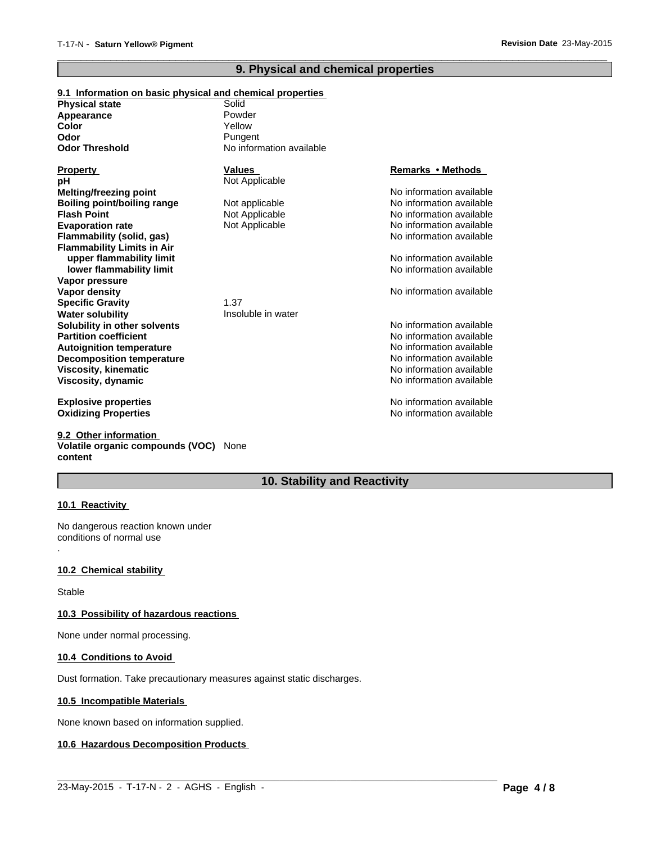### **9. Physical and chemical properties**

 $\overline{\phantom{a}}$  ,  $\overline{\phantom{a}}$  ,  $\overline{\phantom{a}}$  ,  $\overline{\phantom{a}}$  ,  $\overline{\phantom{a}}$  ,  $\overline{\phantom{a}}$  ,  $\overline{\phantom{a}}$  ,  $\overline{\phantom{a}}$  ,  $\overline{\phantom{a}}$  ,  $\overline{\phantom{a}}$  ,  $\overline{\phantom{a}}$  ,  $\overline{\phantom{a}}$  ,  $\overline{\phantom{a}}$  ,  $\overline{\phantom{a}}$  ,  $\overline{\phantom{a}}$  ,  $\overline{\phantom{a}}$ 

| 9.1 Information on basic physical and chemical properties |                          |                          |
|-----------------------------------------------------------|--------------------------|--------------------------|
| <b>Physical state</b>                                     | Solid                    |                          |
| Appearance                                                | Powder                   |                          |
| Color                                                     | Yellow                   |                          |
| Odor                                                      | Pungent                  |                          |
| <b>Odor Threshold</b>                                     | No information available |                          |
| <b>Property</b>                                           | <b>Values</b>            | Remarks • Methods        |
| рH                                                        | Not Applicable           |                          |
| <b>Melting/freezing point</b>                             |                          | No information available |
| <b>Boiling point/boiling range</b>                        | Not applicable           | No information available |
| <b>Flash Point</b>                                        | Not Applicable           | No information available |
| <b>Evaporation rate</b>                                   | Not Applicable           | No information available |
| Flammability (solid, gas)                                 |                          | No information available |
| <b>Flammability Limits in Air</b>                         |                          |                          |
| upper flammability limit                                  |                          | No information available |
| lower flammability limit                                  |                          | No information available |
| Vapor pressure                                            |                          |                          |
| Vapor density                                             |                          | No information available |
| <b>Specific Gravity</b>                                   | 1.37                     |                          |
| <b>Water solubility</b>                                   | Insoluble in water       |                          |
| Solubility in other solvents                              |                          | No information available |
| <b>Partition coefficient</b>                              |                          | No information available |
| <b>Autoignition temperature</b>                           |                          | No information available |
| <b>Decomposition temperature</b>                          |                          | No information available |
| Viscosity, kinematic                                      |                          | No information available |
| Viscosity, dynamic                                        |                          | No information available |
| <b>Explosive properties</b>                               |                          | No information available |
| <b>Oxidizing Properties</b>                               |                          | No information available |

**9.2 Other information Volatile organic compounds (VOC)** None **content**

### **10. Stability and Reactivity**

 $\_$  ,  $\_$  ,  $\_$  ,  $\_$  ,  $\_$  ,  $\_$  ,  $\_$  ,  $\_$  ,  $\_$  ,  $\_$  ,  $\_$  ,  $\_$  ,  $\_$  ,  $\_$  ,  $\_$  ,  $\_$  ,  $\_$  ,  $\_$  ,  $\_$  ,  $\_$  ,  $\_$  ,  $\_$  ,  $\_$  ,  $\_$  ,  $\_$  ,  $\_$  ,  $\_$  ,  $\_$  ,  $\_$  ,  $\_$  ,  $\_$  ,  $\_$  ,  $\_$  ,  $\_$  ,  $\_$  ,  $\_$  ,  $\_$  ,

#### **10.1 Reactivity**

.

No dangerous reaction known under conditions of normal use

#### **10.2 Chemical stability**

Stable

#### **10.3 Possibility of hazardous reactions**

None under normal processing.

#### **10.4 Conditions to Avoid**

Dust formation. Take precautionary measures against static discharges.

#### **10.5 Incompatible Materials**

None known based on information supplied.

### **10.6 Hazardous Decomposition Products**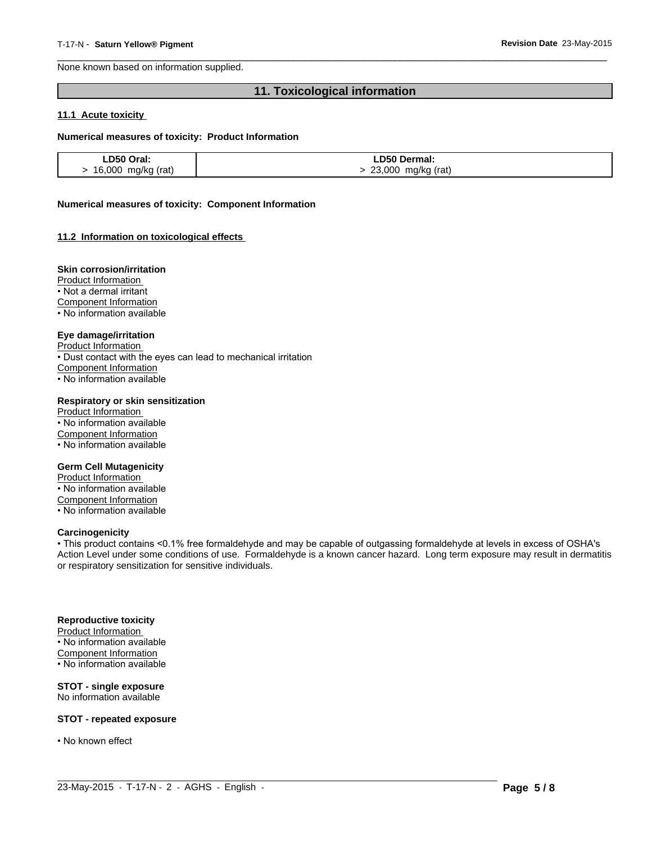None known based on information supplied.

### **11. Toxicological information**

 $\overline{\phantom{a}}$  ,  $\overline{\phantom{a}}$  ,  $\overline{\phantom{a}}$  ,  $\overline{\phantom{a}}$  ,  $\overline{\phantom{a}}$  ,  $\overline{\phantom{a}}$  ,  $\overline{\phantom{a}}$  ,  $\overline{\phantom{a}}$  ,  $\overline{\phantom{a}}$  ,  $\overline{\phantom{a}}$  ,  $\overline{\phantom{a}}$  ,  $\overline{\phantom{a}}$  ,  $\overline{\phantom{a}}$  ,  $\overline{\phantom{a}}$  ,  $\overline{\phantom{a}}$  ,  $\overline{\phantom{a}}$ 

#### **11.1 Acute toxicity**

#### **Numerical measures of toxicity: Product Information**

| LD50 Oral:         | LD50 Dermal:          |
|--------------------|-----------------------|
| 16,000 mg/kg (rat) | 23,000<br>mg/kg (rat) |

#### **Numerical measures of toxicity: Component Information**

#### **11.2 Information on toxicological effects**

#### **Skin corrosion/irritation**

Product Information

• Not a dermal irritant

Component Information

• No information available

#### **Eye damage/irritation**

Product Information

• Dust contact with the eyes can lead to mechanical irritation

Component Information

• No information available

#### **Respiratory or skin sensitization**

Product Information • No information available Component Information • No information available

#### **Germ Cell Mutagenicity**

Product Information • No information available Component Information • No information available

#### **Carcinogenicity**

• This product contains <0.1% free formaldehyde and may be capable of outgassing formaldehyde at levels in excess of OSHA's Action Level under some conditions of use. Formaldehyde is a known cancer hazard. Long term exposure may result in dermatitis or respiratory sensitization for sensitive individuals.

 $\_$  ,  $\_$  ,  $\_$  ,  $\_$  ,  $\_$  ,  $\_$  ,  $\_$  ,  $\_$  ,  $\_$  ,  $\_$  ,  $\_$  ,  $\_$  ,  $\_$  ,  $\_$  ,  $\_$  ,  $\_$  ,  $\_$  ,  $\_$  ,  $\_$  ,  $\_$  ,  $\_$  ,  $\_$  ,  $\_$  ,  $\_$  ,  $\_$  ,  $\_$  ,  $\_$  ,  $\_$  ,  $\_$  ,  $\_$  ,  $\_$  ,  $\_$  ,  $\_$  ,  $\_$  ,  $\_$  ,  $\_$  ,  $\_$  ,

#### **Reproductive toxicity**

Product Information • No information available Component Information • No information available

#### **STOT - single exposure** No information available

**STOT - repeated exposure**

• No known effect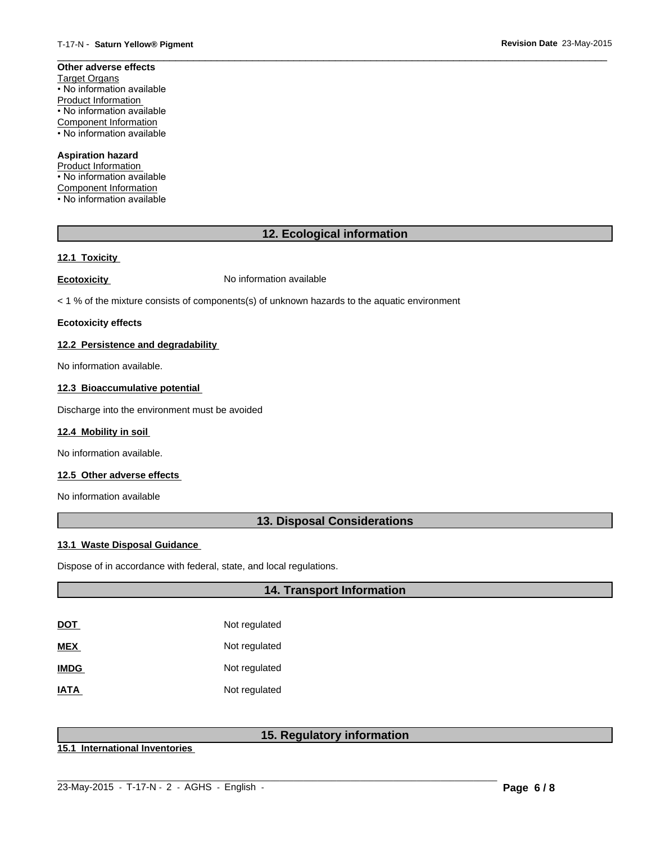#### **Other adverse effects** Target Organs • No information available Product Information • No information available Component Information

• No information available

### **Aspiration hazard**

Product Information • No information available Component Information • No information available

### **12. Ecological information**

 $\overline{\phantom{a}}$  ,  $\overline{\phantom{a}}$  ,  $\overline{\phantom{a}}$  ,  $\overline{\phantom{a}}$  ,  $\overline{\phantom{a}}$  ,  $\overline{\phantom{a}}$  ,  $\overline{\phantom{a}}$  ,  $\overline{\phantom{a}}$  ,  $\overline{\phantom{a}}$  ,  $\overline{\phantom{a}}$  ,  $\overline{\phantom{a}}$  ,  $\overline{\phantom{a}}$  ,  $\overline{\phantom{a}}$  ,  $\overline{\phantom{a}}$  ,  $\overline{\phantom{a}}$  ,  $\overline{\phantom{a}}$ 

## **12.1 Toxicity**

**Ecotoxicity No information available** 

< 1 % of the mixture consists of components(s) of unknown hazards to the aquatic environment

#### **Ecotoxicity effects**

#### **12.2 Persistence and degradability**

No information available.

### **12.3 Bioaccumulative potential**

Discharge into the environment must be avoided

#### **12.4 Mobility in soil**

No information available.

#### **12.5 Other adverse effects**

No information available

### **13. Disposal Considerations**

#### **13.1 Waste Disposal Guidance**

Dispose of in accordance with federal, state, and local regulations.

### **14. Transport Information**

| DOT         | Not regulated |
|-------------|---------------|
| MEX         | Not regulated |
| <b>IMDG</b> | Not regulated |
| <b>IATA</b> | Not regulated |

### **15. Regulatory information**

**15.1 International Inventories**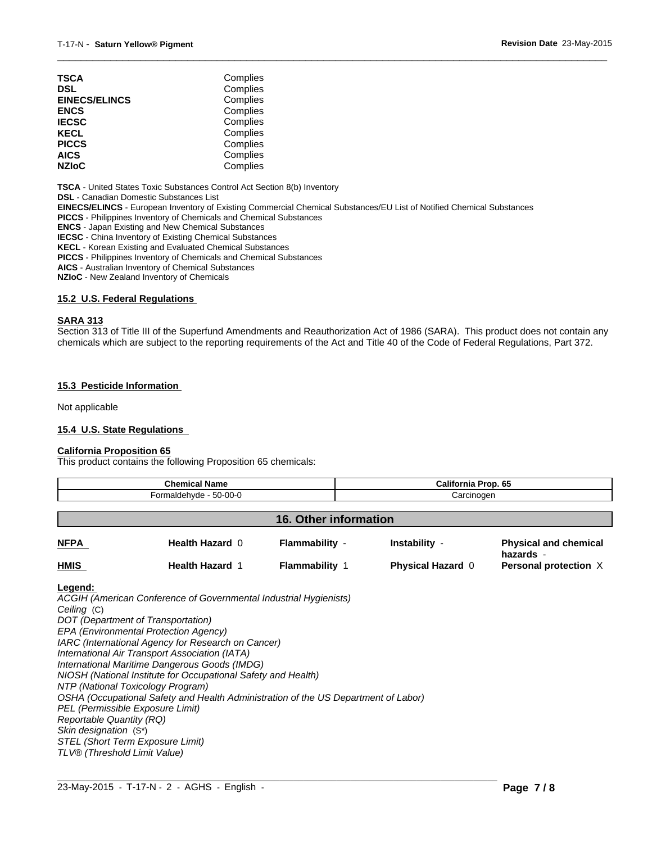| TSCA                 | Complies |  |
|----------------------|----------|--|
| DSL                  | Complies |  |
| <b>EINECS/ELINCS</b> | Complies |  |
| <b>ENCS</b>          | Complies |  |
| <b>IECSC</b>         | Complies |  |
| KECL                 | Complies |  |
| <b>PICCS</b>         | Complies |  |
| AICS                 | Complies |  |
| <b>NZIoC</b>         | Complies |  |
|                      |          |  |

**TSCA** - United States Toxic Substances Control Act Section 8(b) Inventory

**DSL** - Canadian Domestic Substances List

**EINECS/ELINCS** - European Inventory of Existing Commercial Chemical Substances/EU List of Notified Chemical Substances

**PICCS** - Philippines Inventory of Chemicals and Chemical Substances

**ENCS** - Japan Existing and New Chemical Substances

**IECSC** - China Inventory of Existing Chemical Substances

**KECL** - Korean Existing and Evaluated Chemical Substances

**PICCS** - Philippines Inventory of Chemicals and Chemical Substances

**AICS** - Australian Inventory of Chemical Substances

**NZIoC** - New Zealand Inventory of Chemicals

#### **15.2 U.S. Federal Regulations**

#### **SARA 313**

Section 313 of Title III of the Superfund Amendments and Reauthorization Act of 1986 (SARA). This product does not contain any chemicals which are subject to the reporting requirements of the Act and Title 40 of the Code of Federal Regulations, Part 372.

 $\overline{\phantom{a}}$  ,  $\overline{\phantom{a}}$  ,  $\overline{\phantom{a}}$  ,  $\overline{\phantom{a}}$  ,  $\overline{\phantom{a}}$  ,  $\overline{\phantom{a}}$  ,  $\overline{\phantom{a}}$  ,  $\overline{\phantom{a}}$  ,  $\overline{\phantom{a}}$  ,  $\overline{\phantom{a}}$  ,  $\overline{\phantom{a}}$  ,  $\overline{\phantom{a}}$  ,  $\overline{\phantom{a}}$  ,  $\overline{\phantom{a}}$  ,  $\overline{\phantom{a}}$  ,  $\overline{\phantom{a}}$ 

#### **15.3 Pesticide Information**

Not applicable

#### **15.4 U.S. State Regulations**

#### **California Proposition 65**

This product contains the following Proposition 65 chemicals:

| <b>Chemical Name</b><br>Formaldehyde - 50-00-0 |                        |                       | California Prop. 65<br>Carcinogen |                                           |
|------------------------------------------------|------------------------|-----------------------|-----------------------------------|-------------------------------------------|
|                                                |                        |                       |                                   |                                           |
| <b>NFPA</b>                                    | Health Hazard 0        | Flammability -        | Instability -                     | <b>Physical and chemical</b><br>hazards - |
| <b>HMIS</b>                                    | <b>Health Hazard 1</b> | <b>Flammability 1</b> | <b>Physical Hazard 0</b>          | Personal protection X                     |

**Legend:** 

*ACGIH (American Conference of Governmental Industrial Hygienists) Ceiling* (C) *DOT (Department of Transportation) EPA (Environmental Protection Agency) IARC (International Agency for Research on Cancer) International Air Transport Association (IATA) International Maritime Dangerous Goods (IMDG) NIOSH (National Institute for Occupational Safety and Health) NTP (National Toxicology Program) OSHA (Occupational Safety and Health Administration of the US Department of Labor) PEL (Permissible Exposure Limit) Reportable Quantity (RQ) Skin designation* (S\*) *STEL (Short Term Exposure Limit) TLV® (Threshold Limit Value)*